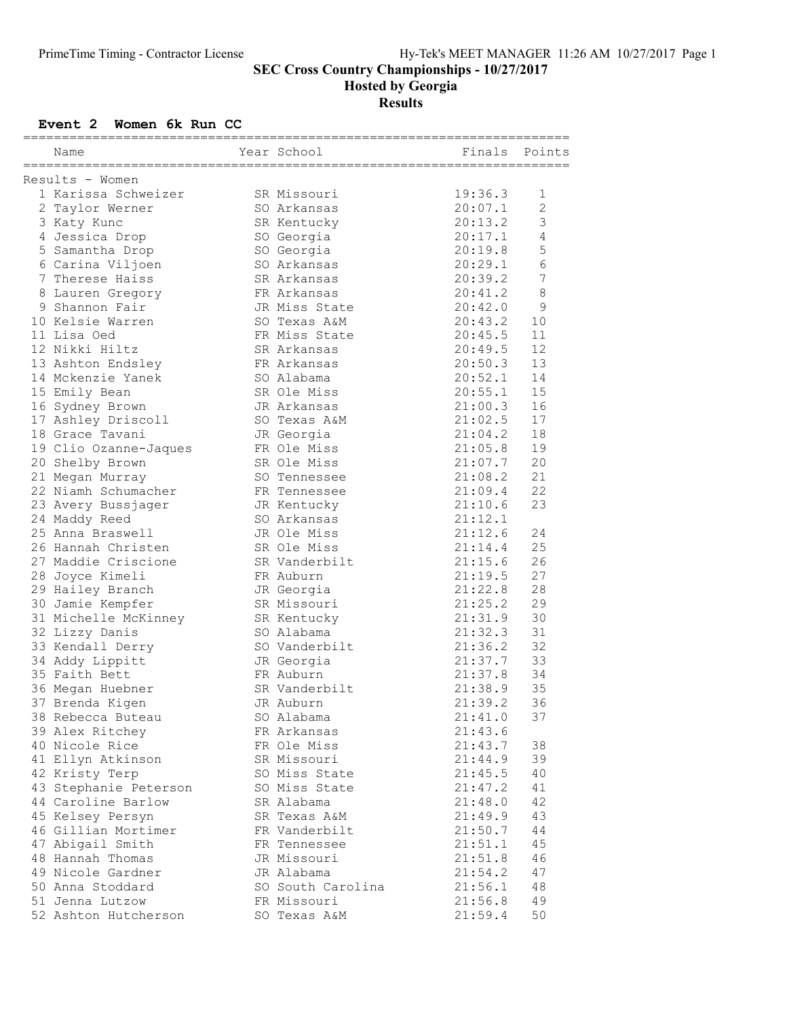Hosted by Georgia

Results

## Event 2 Women 6k Run CC

|                 | Name                  |  | Year School                | Finals  | Points         |  |  |
|-----------------|-----------------------|--|----------------------------|---------|----------------|--|--|
| Results - Women |                       |  |                            |         |                |  |  |
|                 | 1 Karissa Schweizer   |  | SR Missouri                | 19:36.3 | 1              |  |  |
|                 | 2 Taylor Werner       |  | SO Arkansas                | 20:07.1 | $\overline{c}$ |  |  |
|                 | 3 Katy Kunc           |  | SR Kentucky                | 20:13.2 | 3              |  |  |
|                 | 4 Jessica Drop        |  | SO Georgia                 | 20:17.1 | 4              |  |  |
|                 | 5 Samantha Drop       |  | SO Georgia                 | 20:19.8 | 5              |  |  |
|                 |                       |  | SO Arkansas                |         | $\epsilon$     |  |  |
|                 | 6 Carina Viljoen      |  |                            | 20:29.1 |                |  |  |
|                 | 7 Therese Haiss       |  | SR Arkansas                | 20:39.2 | $\overline{7}$ |  |  |
|                 | 8 Lauren Gregory      |  | FR Arkansas                | 20:41.2 | 8              |  |  |
|                 | 9 Shannon Fair        |  | JR Miss State              | 20:42.0 | 9              |  |  |
|                 | 10 Kelsie Warren      |  | SO Texas A&M               | 20:43.2 | 10             |  |  |
|                 | 11 Lisa Oed           |  | FR Miss State              | 20:45.5 | 11             |  |  |
|                 | 12 Nikki Hiltz        |  | SR Arkansas                | 20:49.5 | 12             |  |  |
|                 | 13 Ashton Endsley     |  | FR Arkansas                | 20:50.3 | 13             |  |  |
|                 | 14 Mckenzie Yanek     |  | SO Alabama                 | 20:52.1 | 14             |  |  |
|                 | 15 Emily Bean         |  | SR Ole Miss                | 20:55.1 | 15             |  |  |
|                 | 16 Sydney Brown       |  | JR Arkansas                | 21:00.3 | 16             |  |  |
|                 | 17 Ashley Driscoll    |  | SO Texas A&M               | 21:02.5 | 17             |  |  |
|                 | 18 Grace Tavani       |  | JR Georgia                 | 21:04.2 | 18             |  |  |
|                 | 19 Clio Ozanne-Jaques |  | FR Ole Miss                | 21:05.8 | 19             |  |  |
|                 | 20 Shelby Brown       |  | SR Ole Miss                | 21:07.7 | 20             |  |  |
|                 | 21 Megan Murray       |  | SO Tennessee               | 21:08.2 | 21             |  |  |
|                 | 22 Niamh Schumacher   |  | FR Tennessee               | 21:09.4 | 22             |  |  |
|                 | 23 Avery Bussjager    |  |                            | 21:10.6 | 23             |  |  |
|                 |                       |  | JR Kentucky<br>SO Arkansas |         |                |  |  |
|                 | 24 Maddy Reed         |  |                            | 21:12.1 |                |  |  |
|                 | 25 Anna Braswell      |  | JR Ole Miss                | 21:12.6 | 24             |  |  |
|                 | 26 Hannah Christen    |  | SR Ole Miss                | 21:14.4 | 25             |  |  |
|                 | 27 Maddie Criscione   |  | SR Vanderbilt              | 21:15.6 | 26             |  |  |
|                 | 28 Joyce Kimeli       |  | FR Auburn                  | 21:19.5 | 27             |  |  |
|                 | 29 Hailey Branch      |  | JR Georgia                 | 21:22.8 | 28             |  |  |
|                 | 30 Jamie Kempfer      |  | SR Missouri                | 21:25.2 | 29             |  |  |
|                 | 31 Michelle McKinney  |  | SR Kentucky                | 21:31.9 | 30             |  |  |
|                 | 32 Lizzy Danis        |  | SO Alabama                 | 21:32.3 | 31             |  |  |
|                 | 33 Kendall Derry      |  | SO Vanderbilt              | 21:36.2 | 32             |  |  |
|                 | 34 Addy Lippitt       |  | JR Georgia                 | 21:37.7 | 33             |  |  |
|                 | 35 Faith Bett         |  | FR Auburn                  | 21:37.8 | 34             |  |  |
|                 | 36 Megan Huebner      |  | SR Vanderbilt              | 21:38.9 | 35             |  |  |
|                 | 37 Brenda Kigen       |  | JR Auburn                  | 21:39.2 | 36             |  |  |
|                 | 38 Rebecca Buteau     |  | SO Alabama                 | 21:41.0 | 37             |  |  |
|                 | 39 Alex Ritchey       |  | FR Arkansas                | 21:43.6 |                |  |  |
|                 | 40 Nicole Rice        |  | FR Ole Miss                | 21:43.7 | 38             |  |  |
|                 | 41 Ellyn Atkinson     |  | SR Missouri                | 21:44.9 | 39             |  |  |
|                 | 42 Kristy Terp        |  | SO Miss State              | 21:45.5 | 40             |  |  |
|                 | 43 Stephanie Peterson |  | SO Miss State              | 21:47.2 | 41             |  |  |
|                 |                       |  |                            |         |                |  |  |
|                 | 44 Caroline Barlow    |  | SR Alabama                 | 21:48.0 | 42             |  |  |
|                 | 45 Kelsey Persyn      |  | SR Texas A&M               | 21:49.9 | 43             |  |  |
|                 | 46 Gillian Mortimer   |  | FR Vanderbilt              | 21:50.7 | 44             |  |  |
|                 | 47 Abigail Smith      |  | FR Tennessee               | 21:51.1 | 45             |  |  |
|                 | 48 Hannah Thomas      |  | JR Missouri                | 21:51.8 | 46             |  |  |
|                 | 49 Nicole Gardner     |  | JR Alabama                 | 21:54.2 | 47             |  |  |
|                 | 50 Anna Stoddard      |  | SO South Carolina          | 21:56.1 | 48             |  |  |
|                 | 51 Jenna Lutzow       |  | FR Missouri                | 21:56.8 | 49             |  |  |
|                 | 52 Ashton Hutcherson  |  | SO Texas A&M               | 21:59.4 | 50             |  |  |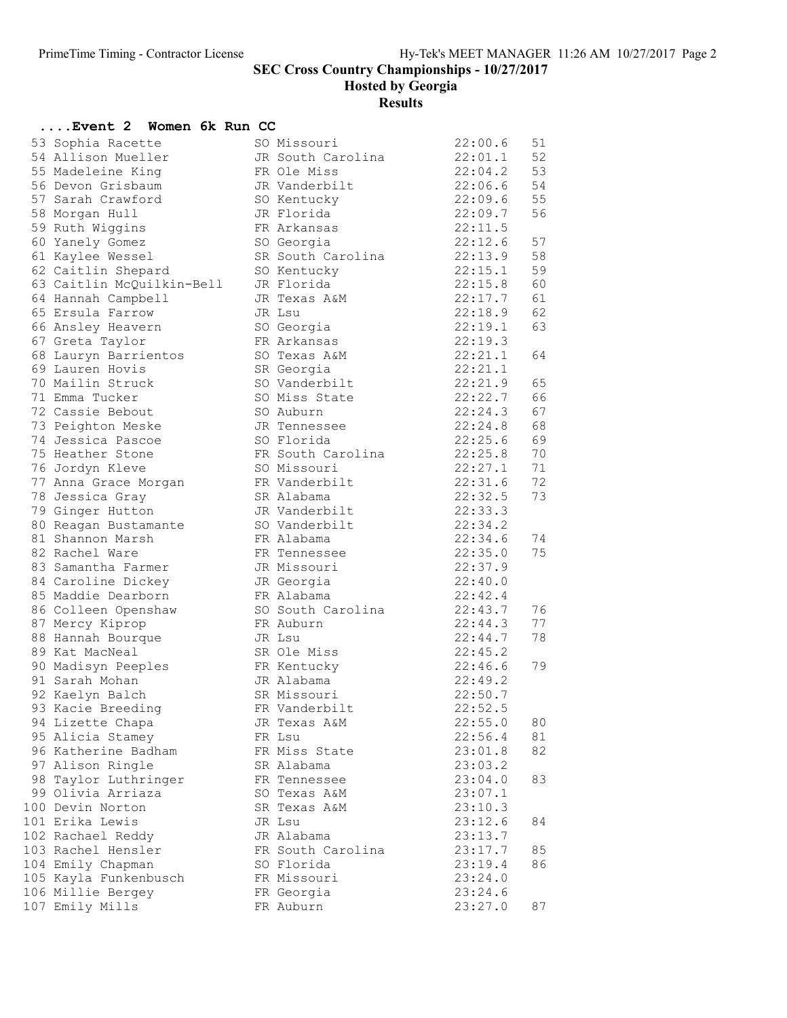Hosted by Georgia

Results

| Event 2  Women 6k Run CC             |                              |                    |    |
|--------------------------------------|------------------------------|--------------------|----|
| 53 Sophia Racette                    | SO Missouri                  | 22:00.6            | 51 |
| 54 Allison Mueller                   | JR South Carolina            | 22:01.1            | 52 |
| 55 Madeleine King                    | FR Ole Miss                  | 22:04.2            | 53 |
| 56 Devon Grisbaum                    | JR Vanderbilt                | 22:06.6            | 54 |
| 57 Sarah Crawford                    | SO Kentucky                  | 22:09.6            | 55 |
| 58 Morgan Hull                       | JR Florida                   | 22:09.7            | 56 |
| 59 Ruth Wiggins                      | FR Arkansas                  | 22:11.5            |    |
| 60 Yanely Gomez                      | SO Georgia                   | 22:12.6            | 57 |
| 61 Kaylee Wessel                     | SR South Carolina            | 22:13.9            | 58 |
| 62 Caitlin Shepard                   | SO Kentucky                  | 22:15.1            | 59 |
| 63 Caitlin McQuilkin-Bell            | JR Florida                   | 22:15.8            | 60 |
| 64 Hannah Campbell                   | JR Texas A&M                 | 22:17.7            | 61 |
| 65 Ersula Farrow                     | JR Lsu                       | 22:18.9            | 62 |
| 66 Ansley Heavern                    | SO Georgia                   | 22:19.1            | 63 |
| 67 Greta Taylor                      | FR Arkansas                  | 22:19.3            |    |
| 68 Lauryn Barrientos                 | SO Texas A&M                 | 22:21.1            | 64 |
| 69 Lauren Hovis                      | SR Georgia                   | 22:21.1            |    |
| 70 Mailin Struck                     | SO Vanderbilt                | 22:21.9            | 65 |
| 71 Emma Tucker                       | SO Miss State                | 22:22.7            | 66 |
| 72 Cassie Bebout                     | SO Auburn                    | 22:24.3            | 67 |
| 73 Peighton Meske                    | JR Tennessee                 | 22:24.8            | 68 |
| 74 Jessica Pascoe                    | SO Florida                   | 22:25.6            | 69 |
| 75 Heather Stone                     | FR South Carolina            | 22:25.8            | 70 |
| 76 Jordyn Kleve                      | SO Missouri                  | 22:27.1            | 71 |
| 77 Anna Grace Morgan                 | FR Vanderbilt                | 22:31.6            | 72 |
| 78 Jessica Gray                      | SR Alabama                   | 22:32.5            | 73 |
| 79 Ginger Hutton                     | JR Vanderbilt                | 22:33.3            |    |
| 80 Reagan Bustamante                 | SO Vanderbilt                | 22:34.2            |    |
| 81 Shannon Marsh                     | FR Alabama                   | 22:34.6            | 74 |
| 82 Rachel Ware                       | FR Tennessee                 | 22:35.0            | 75 |
| 83 Samantha Farmer                   | JR Missouri                  | 22:37.9            |    |
| 84 Caroline Dickey                   | JR Georgia                   | 22:40.0            |    |
| 85 Maddie Dearborn                   | FR Alabama                   | 22:42.4            |    |
| 86 Colleen Openshaw                  | SO South Carolina            | 22:43.7            | 76 |
| 87 Mercy Kiprop                      | FR Auburn                    | 22:44.3            | 77 |
| 88 Hannah Bourque                    | JR Lsu                       | 22:44.7            | 78 |
| 89 Kat MacNeal                       | SR Ole Miss                  | 22:45.2            |    |
| 90 Madisyn Peeples                   | FR Kentucky                  | 22:46.6<br>22:49.2 | 79 |
| 91 Sarah Mohan                       | JR Alabama                   | 22:50.7            |    |
| 92 Kaelyn Balch<br>93 Kacie Breeding | SR Missouri<br>FR Vanderbilt | 22:52.5            |    |
| 94 Lizette Chapa                     | JR Texas A&M                 | 22:55.0            | 80 |
| 95 Alicia Stamey                     | FR Lsu                       | 22:56.4            | 81 |
| 96 Katherine Badham                  | FR Miss State                | 23:01.8            | 82 |
| 97 Alison Ringle                     | SR Alabama                   | 23:03.2            |    |
| 98 Taylor Luthringer                 | FR Tennessee                 | 23:04.0            | 83 |
| 99 Olivia Arriaza                    | SO Texas A&M                 | 23:07.1            |    |
| 100 Devin Norton                     | SR Texas A&M                 | 23:10.3            |    |
| 101 Erika Lewis                      | JR Lsu                       | 23:12.6            | 84 |
| 102 Rachael Reddy                    | JR Alabama                   | 23:13.7            |    |
| 103 Rachel Hensler                   | FR South Carolina            | 23:17.7            | 85 |
| 104 Emily Chapman                    | SO Florida                   | 23:19.4            | 86 |
| 105 Kayla Funkenbusch                | FR Missouri                  | 23:24.0            |    |
| 106 Millie Bergey                    | FR Georgia                   | 23:24.6            |    |
| 107 Emily Mills                      | FR Auburn                    | 23:27.0            | 87 |
|                                      |                              |                    |    |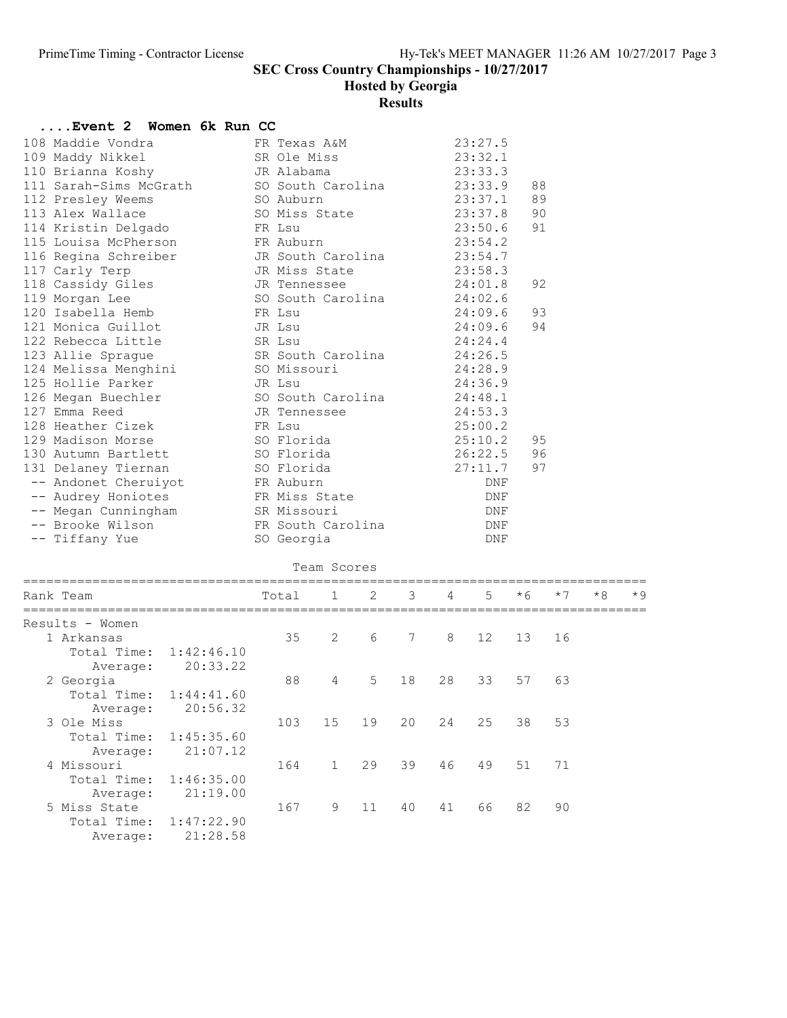Hosted by Georgia

Results

| 108 Maddie Vondra<br>23:27.5<br>FR Texas A&M<br>109 Maddy Nikkel<br>SR Ole Miss<br>23:32.1<br>110 Brianna Koshy<br>JR Alabama<br>23:33.3<br>111 Sarah-Sims McGrath<br>SO South Carolina<br>23:33.9<br>88<br>89<br>112 Presley Weems<br>SO Auburn<br>23:37.1<br>SO Miss State<br>23:37.8<br>90<br>113 Alex Wallace<br>91<br>114 Kristin Delgado<br>23:50.6<br>FR Lsu<br>115 Louisa McPherson<br>FR Auburn<br>23:54.2<br>116 Regina Schreiber<br>JR South Carolina<br>23:54.7<br>117 Carly Terp<br>JR Miss State<br>23:58.3<br>118 Cassidy Giles<br>92<br>24:01.8<br>JR Tennessee<br>119 Morgan Lee<br>SO South Carolina<br>24:02.6<br>120 Isabella Hemb<br>93<br>24:09.6<br>FR Lsu<br>121 Monica Guillot<br>94<br>24:09.6<br>JR Lsu<br>122 Rebecca Little<br>24:24.4<br>SR Lsu<br>SR South Carolina<br>123 Allie Sprague<br>24:26.5<br>124 Melissa Menghini<br>SO Missouri<br>24:28.9<br>125 Hollie Parker<br>JR Lsu<br>24:36.9<br>SO South Carolina<br>126 Megan Buechler<br>24:48.1<br>127 Emma Reed<br>24:53.3<br>JR Tennessee<br>128 Heather Cizek<br>FR Lsu<br>25:00.2<br>129 Madison Morse<br>SO Florida<br>95<br>25:10.2<br>SO Florida<br>26:22.5<br>96<br>130 Autumn Bartlett<br>131 Delaney Tiernan<br>SO Florida<br>27:11.7<br>97<br>-- Andonet Cheruiyot<br>FR Auburn<br>DNF<br>-- Audrey Honiotes<br>FR Miss State<br>DNF<br>-- Megan Cunningham<br>SR Missouri<br>DNF<br>-- Brooke Wilson<br>FR South Carolina<br>DNF<br>-- Tiffany Yue<br>SO Georgia<br>DNF<br>Team Scores<br>3<br>5<br>$*6$<br>$*8$<br>$*$ 9<br>1<br>2<br>4<br>$*7$<br>Rank Team<br>Total<br>=====================<br>Results - Women<br>35<br>13<br>1 Arkansas<br>2<br>6<br>7<br>8<br>12<br>16<br>Total Time:<br>1:42:46.10<br>20:33.22<br>Average:<br>5<br>63<br>2 Georgia<br>88<br>18<br>28<br>33<br>57<br>4<br>Total Time:<br>1:44:41.60<br>20:56.32<br>Average:<br>15<br>3 Ole Miss<br>103<br>19<br>20<br>24<br>25<br>38<br>53<br>Total Time:<br>1:45:35.60<br>21:07.12<br>Average:<br>4 Missouri<br>$\mathbf{1}$<br>29<br>39<br>46<br>51<br>71<br>164<br>49<br>Total Time:<br>1:46:35.00<br>21:19.00<br>Average:<br>5 Miss State<br>167<br>9<br>11<br>41<br>66<br>82<br>90<br>40<br>Total Time:<br>1:47:22.90<br>21:28.58<br>Average: | Event 2 | Women 6k Run CC |  |  |  |  |  |  |  |  |  |  |  |
|---------------------------------------------------------------------------------------------------------------------------------------------------------------------------------------------------------------------------------------------------------------------------------------------------------------------------------------------------------------------------------------------------------------------------------------------------------------------------------------------------------------------------------------------------------------------------------------------------------------------------------------------------------------------------------------------------------------------------------------------------------------------------------------------------------------------------------------------------------------------------------------------------------------------------------------------------------------------------------------------------------------------------------------------------------------------------------------------------------------------------------------------------------------------------------------------------------------------------------------------------------------------------------------------------------------------------------------------------------------------------------------------------------------------------------------------------------------------------------------------------------------------------------------------------------------------------------------------------------------------------------------------------------------------------------------------------------------------------------------------------------------------------------------------------------------------------------------------------------------------------------------------------------------------------------------------------------------------------------------------------------------------------------------------------------------------------------------------------------------------------------------------------------------------------------------------------------------------------|---------|-----------------|--|--|--|--|--|--|--|--|--|--|--|
|                                                                                                                                                                                                                                                                                                                                                                                                                                                                                                                                                                                                                                                                                                                                                                                                                                                                                                                                                                                                                                                                                                                                                                                                                                                                                                                                                                                                                                                                                                                                                                                                                                                                                                                                                                                                                                                                                                                                                                                                                                                                                                                                                                                                                           |         |                 |  |  |  |  |  |  |  |  |  |  |  |
|                                                                                                                                                                                                                                                                                                                                                                                                                                                                                                                                                                                                                                                                                                                                                                                                                                                                                                                                                                                                                                                                                                                                                                                                                                                                                                                                                                                                                                                                                                                                                                                                                                                                                                                                                                                                                                                                                                                                                                                                                                                                                                                                                                                                                           |         |                 |  |  |  |  |  |  |  |  |  |  |  |
|                                                                                                                                                                                                                                                                                                                                                                                                                                                                                                                                                                                                                                                                                                                                                                                                                                                                                                                                                                                                                                                                                                                                                                                                                                                                                                                                                                                                                                                                                                                                                                                                                                                                                                                                                                                                                                                                                                                                                                                                                                                                                                                                                                                                                           |         |                 |  |  |  |  |  |  |  |  |  |  |  |
|                                                                                                                                                                                                                                                                                                                                                                                                                                                                                                                                                                                                                                                                                                                                                                                                                                                                                                                                                                                                                                                                                                                                                                                                                                                                                                                                                                                                                                                                                                                                                                                                                                                                                                                                                                                                                                                                                                                                                                                                                                                                                                                                                                                                                           |         |                 |  |  |  |  |  |  |  |  |  |  |  |
|                                                                                                                                                                                                                                                                                                                                                                                                                                                                                                                                                                                                                                                                                                                                                                                                                                                                                                                                                                                                                                                                                                                                                                                                                                                                                                                                                                                                                                                                                                                                                                                                                                                                                                                                                                                                                                                                                                                                                                                                                                                                                                                                                                                                                           |         |                 |  |  |  |  |  |  |  |  |  |  |  |
|                                                                                                                                                                                                                                                                                                                                                                                                                                                                                                                                                                                                                                                                                                                                                                                                                                                                                                                                                                                                                                                                                                                                                                                                                                                                                                                                                                                                                                                                                                                                                                                                                                                                                                                                                                                                                                                                                                                                                                                                                                                                                                                                                                                                                           |         |                 |  |  |  |  |  |  |  |  |  |  |  |
|                                                                                                                                                                                                                                                                                                                                                                                                                                                                                                                                                                                                                                                                                                                                                                                                                                                                                                                                                                                                                                                                                                                                                                                                                                                                                                                                                                                                                                                                                                                                                                                                                                                                                                                                                                                                                                                                                                                                                                                                                                                                                                                                                                                                                           |         |                 |  |  |  |  |  |  |  |  |  |  |  |
|                                                                                                                                                                                                                                                                                                                                                                                                                                                                                                                                                                                                                                                                                                                                                                                                                                                                                                                                                                                                                                                                                                                                                                                                                                                                                                                                                                                                                                                                                                                                                                                                                                                                                                                                                                                                                                                                                                                                                                                                                                                                                                                                                                                                                           |         |                 |  |  |  |  |  |  |  |  |  |  |  |
|                                                                                                                                                                                                                                                                                                                                                                                                                                                                                                                                                                                                                                                                                                                                                                                                                                                                                                                                                                                                                                                                                                                                                                                                                                                                                                                                                                                                                                                                                                                                                                                                                                                                                                                                                                                                                                                                                                                                                                                                                                                                                                                                                                                                                           |         |                 |  |  |  |  |  |  |  |  |  |  |  |
|                                                                                                                                                                                                                                                                                                                                                                                                                                                                                                                                                                                                                                                                                                                                                                                                                                                                                                                                                                                                                                                                                                                                                                                                                                                                                                                                                                                                                                                                                                                                                                                                                                                                                                                                                                                                                                                                                                                                                                                                                                                                                                                                                                                                                           |         |                 |  |  |  |  |  |  |  |  |  |  |  |
|                                                                                                                                                                                                                                                                                                                                                                                                                                                                                                                                                                                                                                                                                                                                                                                                                                                                                                                                                                                                                                                                                                                                                                                                                                                                                                                                                                                                                                                                                                                                                                                                                                                                                                                                                                                                                                                                                                                                                                                                                                                                                                                                                                                                                           |         |                 |  |  |  |  |  |  |  |  |  |  |  |
|                                                                                                                                                                                                                                                                                                                                                                                                                                                                                                                                                                                                                                                                                                                                                                                                                                                                                                                                                                                                                                                                                                                                                                                                                                                                                                                                                                                                                                                                                                                                                                                                                                                                                                                                                                                                                                                                                                                                                                                                                                                                                                                                                                                                                           |         |                 |  |  |  |  |  |  |  |  |  |  |  |
|                                                                                                                                                                                                                                                                                                                                                                                                                                                                                                                                                                                                                                                                                                                                                                                                                                                                                                                                                                                                                                                                                                                                                                                                                                                                                                                                                                                                                                                                                                                                                                                                                                                                                                                                                                                                                                                                                                                                                                                                                                                                                                                                                                                                                           |         |                 |  |  |  |  |  |  |  |  |  |  |  |
|                                                                                                                                                                                                                                                                                                                                                                                                                                                                                                                                                                                                                                                                                                                                                                                                                                                                                                                                                                                                                                                                                                                                                                                                                                                                                                                                                                                                                                                                                                                                                                                                                                                                                                                                                                                                                                                                                                                                                                                                                                                                                                                                                                                                                           |         |                 |  |  |  |  |  |  |  |  |  |  |  |
|                                                                                                                                                                                                                                                                                                                                                                                                                                                                                                                                                                                                                                                                                                                                                                                                                                                                                                                                                                                                                                                                                                                                                                                                                                                                                                                                                                                                                                                                                                                                                                                                                                                                                                                                                                                                                                                                                                                                                                                                                                                                                                                                                                                                                           |         |                 |  |  |  |  |  |  |  |  |  |  |  |
|                                                                                                                                                                                                                                                                                                                                                                                                                                                                                                                                                                                                                                                                                                                                                                                                                                                                                                                                                                                                                                                                                                                                                                                                                                                                                                                                                                                                                                                                                                                                                                                                                                                                                                                                                                                                                                                                                                                                                                                                                                                                                                                                                                                                                           |         |                 |  |  |  |  |  |  |  |  |  |  |  |
|                                                                                                                                                                                                                                                                                                                                                                                                                                                                                                                                                                                                                                                                                                                                                                                                                                                                                                                                                                                                                                                                                                                                                                                                                                                                                                                                                                                                                                                                                                                                                                                                                                                                                                                                                                                                                                                                                                                                                                                                                                                                                                                                                                                                                           |         |                 |  |  |  |  |  |  |  |  |  |  |  |
|                                                                                                                                                                                                                                                                                                                                                                                                                                                                                                                                                                                                                                                                                                                                                                                                                                                                                                                                                                                                                                                                                                                                                                                                                                                                                                                                                                                                                                                                                                                                                                                                                                                                                                                                                                                                                                                                                                                                                                                                                                                                                                                                                                                                                           |         |                 |  |  |  |  |  |  |  |  |  |  |  |
|                                                                                                                                                                                                                                                                                                                                                                                                                                                                                                                                                                                                                                                                                                                                                                                                                                                                                                                                                                                                                                                                                                                                                                                                                                                                                                                                                                                                                                                                                                                                                                                                                                                                                                                                                                                                                                                                                                                                                                                                                                                                                                                                                                                                                           |         |                 |  |  |  |  |  |  |  |  |  |  |  |
|                                                                                                                                                                                                                                                                                                                                                                                                                                                                                                                                                                                                                                                                                                                                                                                                                                                                                                                                                                                                                                                                                                                                                                                                                                                                                                                                                                                                                                                                                                                                                                                                                                                                                                                                                                                                                                                                                                                                                                                                                                                                                                                                                                                                                           |         |                 |  |  |  |  |  |  |  |  |  |  |  |
|                                                                                                                                                                                                                                                                                                                                                                                                                                                                                                                                                                                                                                                                                                                                                                                                                                                                                                                                                                                                                                                                                                                                                                                                                                                                                                                                                                                                                                                                                                                                                                                                                                                                                                                                                                                                                                                                                                                                                                                                                                                                                                                                                                                                                           |         |                 |  |  |  |  |  |  |  |  |  |  |  |
|                                                                                                                                                                                                                                                                                                                                                                                                                                                                                                                                                                                                                                                                                                                                                                                                                                                                                                                                                                                                                                                                                                                                                                                                                                                                                                                                                                                                                                                                                                                                                                                                                                                                                                                                                                                                                                                                                                                                                                                                                                                                                                                                                                                                                           |         |                 |  |  |  |  |  |  |  |  |  |  |  |
|                                                                                                                                                                                                                                                                                                                                                                                                                                                                                                                                                                                                                                                                                                                                                                                                                                                                                                                                                                                                                                                                                                                                                                                                                                                                                                                                                                                                                                                                                                                                                                                                                                                                                                                                                                                                                                                                                                                                                                                                                                                                                                                                                                                                                           |         |                 |  |  |  |  |  |  |  |  |  |  |  |
|                                                                                                                                                                                                                                                                                                                                                                                                                                                                                                                                                                                                                                                                                                                                                                                                                                                                                                                                                                                                                                                                                                                                                                                                                                                                                                                                                                                                                                                                                                                                                                                                                                                                                                                                                                                                                                                                                                                                                                                                                                                                                                                                                                                                                           |         |                 |  |  |  |  |  |  |  |  |  |  |  |
|                                                                                                                                                                                                                                                                                                                                                                                                                                                                                                                                                                                                                                                                                                                                                                                                                                                                                                                                                                                                                                                                                                                                                                                                                                                                                                                                                                                                                                                                                                                                                                                                                                                                                                                                                                                                                                                                                                                                                                                                                                                                                                                                                                                                                           |         |                 |  |  |  |  |  |  |  |  |  |  |  |
|                                                                                                                                                                                                                                                                                                                                                                                                                                                                                                                                                                                                                                                                                                                                                                                                                                                                                                                                                                                                                                                                                                                                                                                                                                                                                                                                                                                                                                                                                                                                                                                                                                                                                                                                                                                                                                                                                                                                                                                                                                                                                                                                                                                                                           |         |                 |  |  |  |  |  |  |  |  |  |  |  |
|                                                                                                                                                                                                                                                                                                                                                                                                                                                                                                                                                                                                                                                                                                                                                                                                                                                                                                                                                                                                                                                                                                                                                                                                                                                                                                                                                                                                                                                                                                                                                                                                                                                                                                                                                                                                                                                                                                                                                                                                                                                                                                                                                                                                                           |         |                 |  |  |  |  |  |  |  |  |  |  |  |
|                                                                                                                                                                                                                                                                                                                                                                                                                                                                                                                                                                                                                                                                                                                                                                                                                                                                                                                                                                                                                                                                                                                                                                                                                                                                                                                                                                                                                                                                                                                                                                                                                                                                                                                                                                                                                                                                                                                                                                                                                                                                                                                                                                                                                           |         |                 |  |  |  |  |  |  |  |  |  |  |  |
|                                                                                                                                                                                                                                                                                                                                                                                                                                                                                                                                                                                                                                                                                                                                                                                                                                                                                                                                                                                                                                                                                                                                                                                                                                                                                                                                                                                                                                                                                                                                                                                                                                                                                                                                                                                                                                                                                                                                                                                                                                                                                                                                                                                                                           |         |                 |  |  |  |  |  |  |  |  |  |  |  |
|                                                                                                                                                                                                                                                                                                                                                                                                                                                                                                                                                                                                                                                                                                                                                                                                                                                                                                                                                                                                                                                                                                                                                                                                                                                                                                                                                                                                                                                                                                                                                                                                                                                                                                                                                                                                                                                                                                                                                                                                                                                                                                                                                                                                                           |         |                 |  |  |  |  |  |  |  |  |  |  |  |
|                                                                                                                                                                                                                                                                                                                                                                                                                                                                                                                                                                                                                                                                                                                                                                                                                                                                                                                                                                                                                                                                                                                                                                                                                                                                                                                                                                                                                                                                                                                                                                                                                                                                                                                                                                                                                                                                                                                                                                                                                                                                                                                                                                                                                           |         |                 |  |  |  |  |  |  |  |  |  |  |  |
|                                                                                                                                                                                                                                                                                                                                                                                                                                                                                                                                                                                                                                                                                                                                                                                                                                                                                                                                                                                                                                                                                                                                                                                                                                                                                                                                                                                                                                                                                                                                                                                                                                                                                                                                                                                                                                                                                                                                                                                                                                                                                                                                                                                                                           |         |                 |  |  |  |  |  |  |  |  |  |  |  |
|                                                                                                                                                                                                                                                                                                                                                                                                                                                                                                                                                                                                                                                                                                                                                                                                                                                                                                                                                                                                                                                                                                                                                                                                                                                                                                                                                                                                                                                                                                                                                                                                                                                                                                                                                                                                                                                                                                                                                                                                                                                                                                                                                                                                                           |         |                 |  |  |  |  |  |  |  |  |  |  |  |
|                                                                                                                                                                                                                                                                                                                                                                                                                                                                                                                                                                                                                                                                                                                                                                                                                                                                                                                                                                                                                                                                                                                                                                                                                                                                                                                                                                                                                                                                                                                                                                                                                                                                                                                                                                                                                                                                                                                                                                                                                                                                                                                                                                                                                           |         |                 |  |  |  |  |  |  |  |  |  |  |  |
|                                                                                                                                                                                                                                                                                                                                                                                                                                                                                                                                                                                                                                                                                                                                                                                                                                                                                                                                                                                                                                                                                                                                                                                                                                                                                                                                                                                                                                                                                                                                                                                                                                                                                                                                                                                                                                                                                                                                                                                                                                                                                                                                                                                                                           |         |                 |  |  |  |  |  |  |  |  |  |  |  |
|                                                                                                                                                                                                                                                                                                                                                                                                                                                                                                                                                                                                                                                                                                                                                                                                                                                                                                                                                                                                                                                                                                                                                                                                                                                                                                                                                                                                                                                                                                                                                                                                                                                                                                                                                                                                                                                                                                                                                                                                                                                                                                                                                                                                                           |         |                 |  |  |  |  |  |  |  |  |  |  |  |
|                                                                                                                                                                                                                                                                                                                                                                                                                                                                                                                                                                                                                                                                                                                                                                                                                                                                                                                                                                                                                                                                                                                                                                                                                                                                                                                                                                                                                                                                                                                                                                                                                                                                                                                                                                                                                                                                                                                                                                                                                                                                                                                                                                                                                           |         |                 |  |  |  |  |  |  |  |  |  |  |  |
|                                                                                                                                                                                                                                                                                                                                                                                                                                                                                                                                                                                                                                                                                                                                                                                                                                                                                                                                                                                                                                                                                                                                                                                                                                                                                                                                                                                                                                                                                                                                                                                                                                                                                                                                                                                                                                                                                                                                                                                                                                                                                                                                                                                                                           |         |                 |  |  |  |  |  |  |  |  |  |  |  |
|                                                                                                                                                                                                                                                                                                                                                                                                                                                                                                                                                                                                                                                                                                                                                                                                                                                                                                                                                                                                                                                                                                                                                                                                                                                                                                                                                                                                                                                                                                                                                                                                                                                                                                                                                                                                                                                                                                                                                                                                                                                                                                                                                                                                                           |         |                 |  |  |  |  |  |  |  |  |  |  |  |
|                                                                                                                                                                                                                                                                                                                                                                                                                                                                                                                                                                                                                                                                                                                                                                                                                                                                                                                                                                                                                                                                                                                                                                                                                                                                                                                                                                                                                                                                                                                                                                                                                                                                                                                                                                                                                                                                                                                                                                                                                                                                                                                                                                                                                           |         |                 |  |  |  |  |  |  |  |  |  |  |  |
|                                                                                                                                                                                                                                                                                                                                                                                                                                                                                                                                                                                                                                                                                                                                                                                                                                                                                                                                                                                                                                                                                                                                                                                                                                                                                                                                                                                                                                                                                                                                                                                                                                                                                                                                                                                                                                                                                                                                                                                                                                                                                                                                                                                                                           |         |                 |  |  |  |  |  |  |  |  |  |  |  |
|                                                                                                                                                                                                                                                                                                                                                                                                                                                                                                                                                                                                                                                                                                                                                                                                                                                                                                                                                                                                                                                                                                                                                                                                                                                                                                                                                                                                                                                                                                                                                                                                                                                                                                                                                                                                                                                                                                                                                                                                                                                                                                                                                                                                                           |         |                 |  |  |  |  |  |  |  |  |  |  |  |
|                                                                                                                                                                                                                                                                                                                                                                                                                                                                                                                                                                                                                                                                                                                                                                                                                                                                                                                                                                                                                                                                                                                                                                                                                                                                                                                                                                                                                                                                                                                                                                                                                                                                                                                                                                                                                                                                                                                                                                                                                                                                                                                                                                                                                           |         |                 |  |  |  |  |  |  |  |  |  |  |  |
|                                                                                                                                                                                                                                                                                                                                                                                                                                                                                                                                                                                                                                                                                                                                                                                                                                                                                                                                                                                                                                                                                                                                                                                                                                                                                                                                                                                                                                                                                                                                                                                                                                                                                                                                                                                                                                                                                                                                                                                                                                                                                                                                                                                                                           |         |                 |  |  |  |  |  |  |  |  |  |  |  |
|                                                                                                                                                                                                                                                                                                                                                                                                                                                                                                                                                                                                                                                                                                                                                                                                                                                                                                                                                                                                                                                                                                                                                                                                                                                                                                                                                                                                                                                                                                                                                                                                                                                                                                                                                                                                                                                                                                                                                                                                                                                                                                                                                                                                                           |         |                 |  |  |  |  |  |  |  |  |  |  |  |
|                                                                                                                                                                                                                                                                                                                                                                                                                                                                                                                                                                                                                                                                                                                                                                                                                                                                                                                                                                                                                                                                                                                                                                                                                                                                                                                                                                                                                                                                                                                                                                                                                                                                                                                                                                                                                                                                                                                                                                                                                                                                                                                                                                                                                           |         |                 |  |  |  |  |  |  |  |  |  |  |  |
|                                                                                                                                                                                                                                                                                                                                                                                                                                                                                                                                                                                                                                                                                                                                                                                                                                                                                                                                                                                                                                                                                                                                                                                                                                                                                                                                                                                                                                                                                                                                                                                                                                                                                                                                                                                                                                                                                                                                                                                                                                                                                                                                                                                                                           |         |                 |  |  |  |  |  |  |  |  |  |  |  |
|                                                                                                                                                                                                                                                                                                                                                                                                                                                                                                                                                                                                                                                                                                                                                                                                                                                                                                                                                                                                                                                                                                                                                                                                                                                                                                                                                                                                                                                                                                                                                                                                                                                                                                                                                                                                                                                                                                                                                                                                                                                                                                                                                                                                                           |         |                 |  |  |  |  |  |  |  |  |  |  |  |